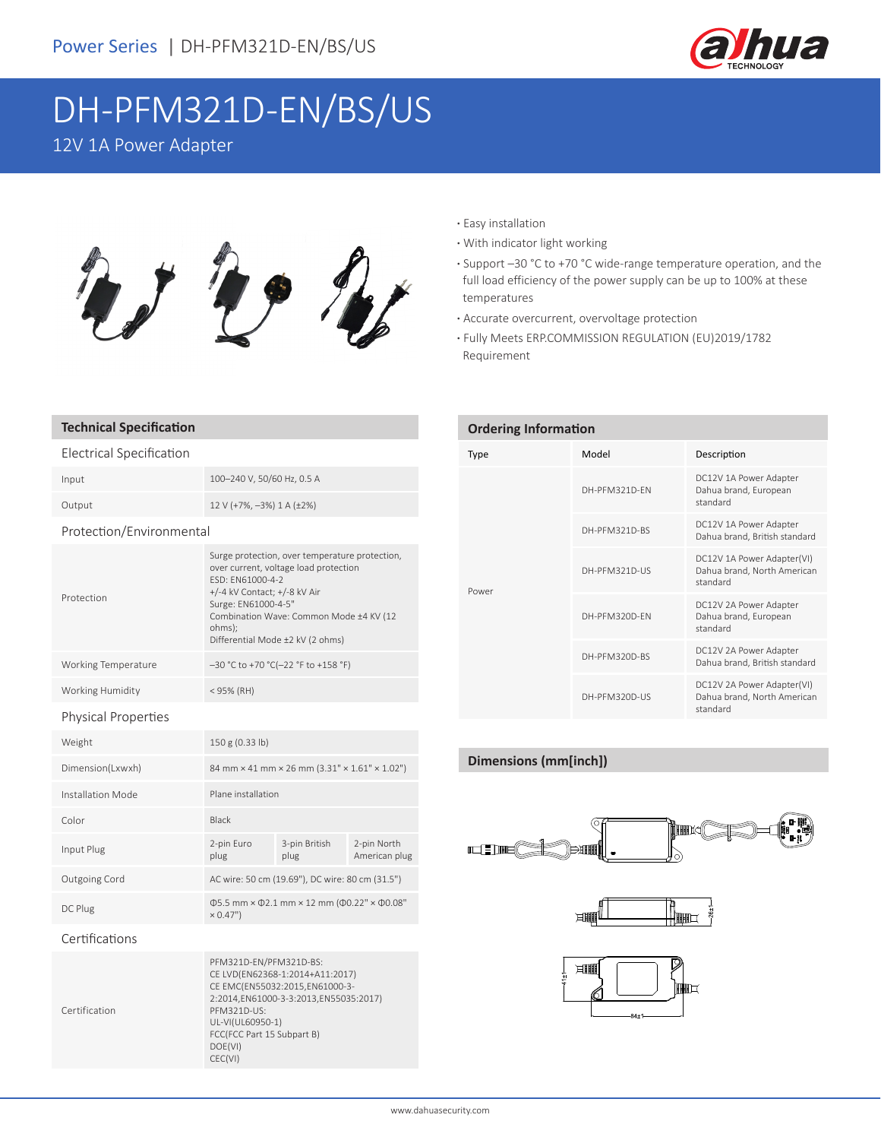

# DH-PFM321D-EN/BS/US

### 12V 1A Power Adapter



## **Technical Specification**

## Electrical Specification Input 100–240 V, 50/60 Hz, 0.5 A Output 12 V (+7%, –3%) 1 A (±2%) Protection/Environmental

#### Protection Surge protection, over temperature protection, over current, voltage load protection ESD: EN61000-4-2 +/-4 kV Contact; +/-8 kV Air Surge: EN61000-4-5" Combination Wave: Common Mode ±4 KV (12 ohms); Differential Mode ±2 kV (2 ohms) Working Temperature –30 °C to +70 °C(-22 °F to +158 °F) Working Humidity < 95% (RH) Physical Properties Weight 150 g (0.33 lb) Dimension(Lxwxh) 84 mm × 41 mm × 26 mm (3.31" × 1.61" × 1.02") Installation Mode Plane installation Color Black Input Plug 2-pin Euro plug 3-pin British plug 2-pin North American plug Outgoing Cord AC wire: 50 cm (19.69"), DC wire: 80 cm (31.5")  $\Phi$ 5.5 mm × Φ2.1 mm × 12 mm (Φ0.22" × Φ0.08"  $× 0.47"$

#### Certifications

Certification PFM321D-EN/PFM321D-BS: CE LVD(EN62368-1:2014+A11:2017) CE EMC(EN55032:2015,EN61000-3- 2:2014,EN61000-3-3:2013,EN55035:2017) PFM321D-US: UL-VI(UL60950-1) FCC(FCC Part 15 Subpart B) DOE(VI) CEC(VI)

#### **·** Easy installation

- **·** With indicator light working
- **·** Support –30 °C to +70 °C wide-range temperature operation, and the full load efficiency of the power supply can be up to 100% at these temperatures
- **·** Accurate overcurrent, overvoltage protection
- **·** Fully Meets ERP.COMMISSION REGULATION (EU)2019/1782 Requirement

| <b>Ordering Information</b> |               |                                                                       |
|-----------------------------|---------------|-----------------------------------------------------------------------|
| Type                        | Model         | Description                                                           |
| Power                       | DH-PFM321D-FN | DC12V 1A Power Adapter<br>Dahua brand, European<br>standard           |
|                             | DH-PFM321D-BS | DC12V 1A Power Adapter<br>Dahua brand, British standard               |
|                             | DH-PFM321D-US | DC12V 1A Power Adapter(VI)<br>Dahua brand, North American<br>standard |
|                             | DH-PFM320D-FN | DC12V 2A Power Adapter<br>Dahua brand, European<br>standard           |
|                             | DH-PFM320D-BS | DC12V 2A Power Adapter<br>Dahua brand, British standard               |
|                             | DH-PFM320D-US | DC12V 2A Power Adapter(VI)<br>Dahua brand, North American<br>standard |

#### **Dimensions (mm[inch])**